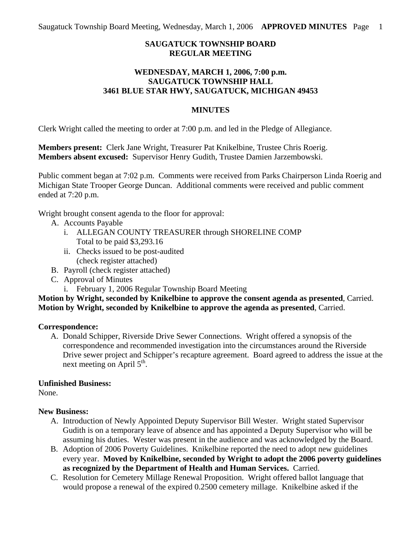# **SAUGATUCK TOWNSHIP BOARD REGULAR MEETING**

### **WEDNESDAY, MARCH 1, 2006, 7:00 p.m. SAUGATUCK TOWNSHIP HALL 3461 BLUE STAR HWY, SAUGATUCK, MICHIGAN 49453**

#### **MINUTES**

Clerk Wright called the meeting to order at 7:00 p.m. and led in the Pledge of Allegiance.

**Members present:** Clerk Jane Wright, Treasurer Pat Knikelbine, Trustee Chris Roerig. **Members absent excused:** Supervisor Henry Gudith, Trustee Damien Jarzembowski.

Public comment began at 7:02 p.m. Comments were received from Parks Chairperson Linda Roerig and Michigan State Trooper George Duncan. Additional comments were received and public comment ended at 7:20 p.m.

Wright brought consent agenda to the floor for approval:

- A. Accounts Payable
	- i. ALLEGAN COUNTY TREASURER through SHORELINE COMP Total to be paid \$3,293.16
	- ii. Checks issued to be post-audited (check register attached)
- B. Payroll (check register attached)
- C. Approval of Minutes
	- i. February 1, 2006 Regular Township Board Meeting

## **Motion by Wright, seconded by Knikelbine to approve the consent agenda as presented**, Carried. **Motion by Wright, seconded by Knikelbine to approve the agenda as presented**, Carried.

#### **Correspondence:**

A. Donald Schipper, Riverside Drive Sewer Connections. Wright offered a synopsis of the correspondence and recommended investigation into the circumstances around the Riverside Drive sewer project and Schipper's recapture agreement. Board agreed to address the issue at the next meeting on April  $5<sup>th</sup>$ .

#### **Unfinished Business:**

None.

#### **New Business:**

- A. Introduction of Newly Appointed Deputy Supervisor Bill Wester. Wright stated Supervisor Gudith is on a temporary leave of absence and has appointed a Deputy Supervisor who will be assuming his duties. Wester was present in the audience and was acknowledged by the Board.
- B. Adoption of 2006 Poverty Guidelines. Knikelbine reported the need to adopt new guidelines every year. **Moved by Knikelbine, seconded by Wright to adopt the 2006 poverty guidelines as recognized by the Department of Health and Human Services.** Carried.
- C. Resolution for Cemetery Millage Renewal Proposition. Wright offered ballot language that would propose a renewal of the expired 0.2500 cemetery millage. Knikelbine asked if the